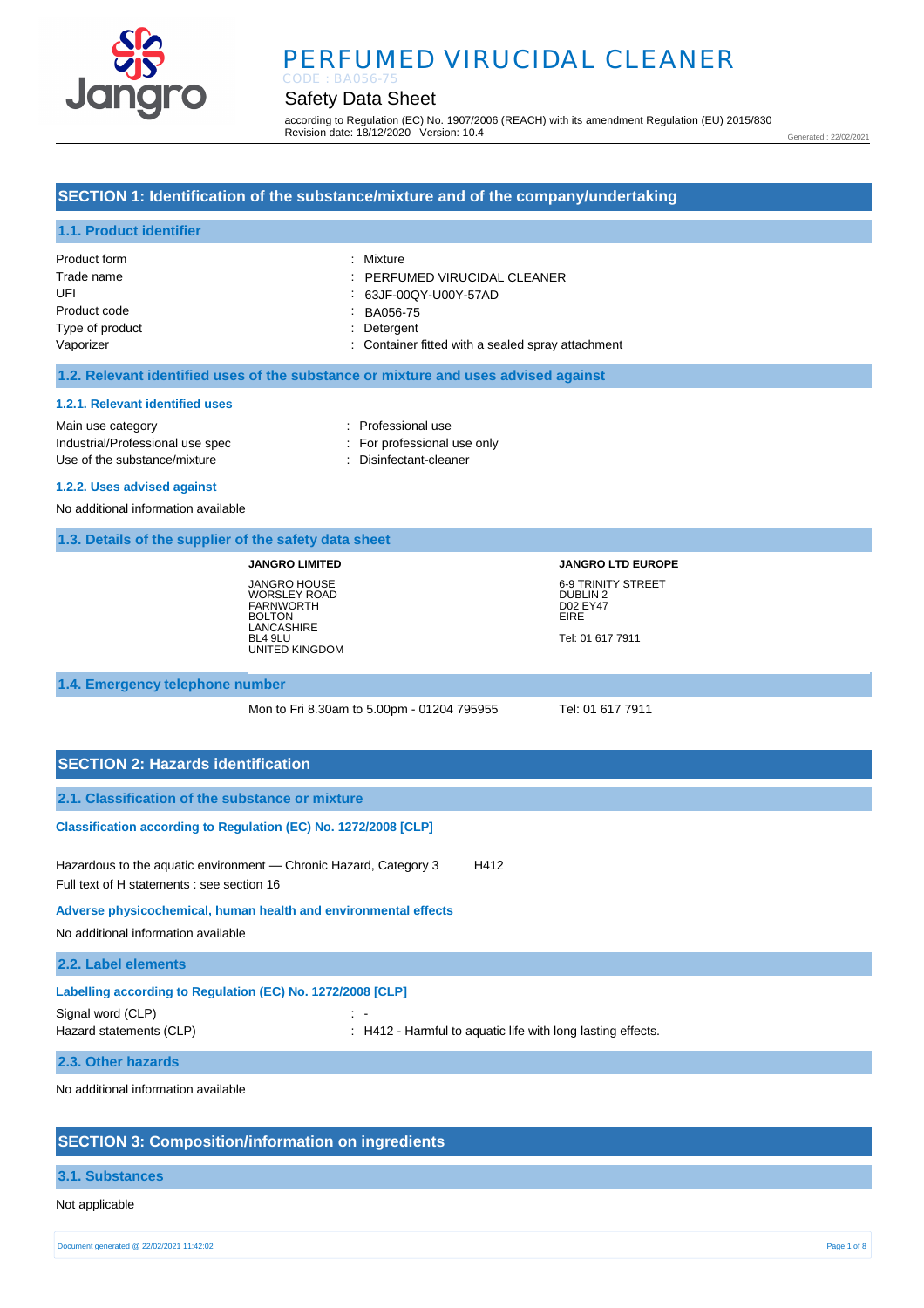

# Safety Data Sheet

according to Regulation (EC) No. 1907/2006 (REACH) with its amendment Regulation (EU) 2015/830 Revision date: 18/12/2020 Version: 10.4

Generated : 22/02/2021

# **SECTION 1: Identification of the substance/mixture and of the company/undertaking**

# **1.1. Product identifier**

| Product form    | : Mixture                                         |
|-----------------|---------------------------------------------------|
| Trade name      | $\therefore$ PERFUMED VIRUCIDAL CLEANER           |
| UFI             | : 63JF-00QY-U00Y-57AD                             |
| Product code    | BA056-75                                          |
| Type of product | : Detergent                                       |
| Vaporizer       | : Container fitted with a sealed spray attachment |

### **1.2. Relevant identified uses of the substance or mixture and uses advised against**

#### **1.2.1. Relevant identified uses**

Main use category **interest and the COV** and the Professional use Industrial/Professional use spec : For professional use only Use of the substance/mixture in the substance/mixture in the Disinfectant-cleaner

# **1.2.2. Uses advised against**

No additional information available

|  | 1.3. Details of the supplier of the safety data sheet |  |  |
|--|-------------------------------------------------------|--|--|
|  |                                                       |  |  |

**JANGRO LIMITED** JANGRO HOUSE WORSLEY ROAD FARNWORTH BOLTON LANCASHIRE BL4 9LU UNITED KINGDOM **JANGRO LTD EUROPE** 6-9 TRINITY STREET DUBLIN 2 D02 EY47 EIRE Tel: 01 617 7911

# **1.4. Emergency telephone number**

Mon to Fri 8.30am to 5.00pm - 01204 795955 Tel: 01 617 7911

| <b>SECTION 2: Hazards identification</b>                                                                                |            |                                                                        |
|-------------------------------------------------------------------------------------------------------------------------|------------|------------------------------------------------------------------------|
| 2.1. Classification of the substance or mixture                                                                         |            |                                                                        |
| Classification according to Regulation (EC) No. 1272/2008 [CLP]                                                         |            |                                                                        |
| Hazardous to the aquatic environment — Chronic Hazard, Category 3<br>H412<br>Full text of H statements : see section 16 |            |                                                                        |
| Adverse physicochemical, human health and environmental effects<br>No additional information available                  |            |                                                                        |
|                                                                                                                         |            |                                                                        |
| 2.2. Label elements                                                                                                     |            |                                                                        |
| Labelling according to Regulation (EC) No. 1272/2008 [CLP]                                                              |            |                                                                        |
| Signal word (CLP)<br>Hazard statements (CLP)                                                                            | $\sim$ $-$ | $\therefore$ H412 - Harmful to aquatic life with long lasting effects. |

### **2.3. Other hazards**

No additional information available

# **SECTION 3: Composition/information on ingredients**

#### **3.1. Substances**

Not applicable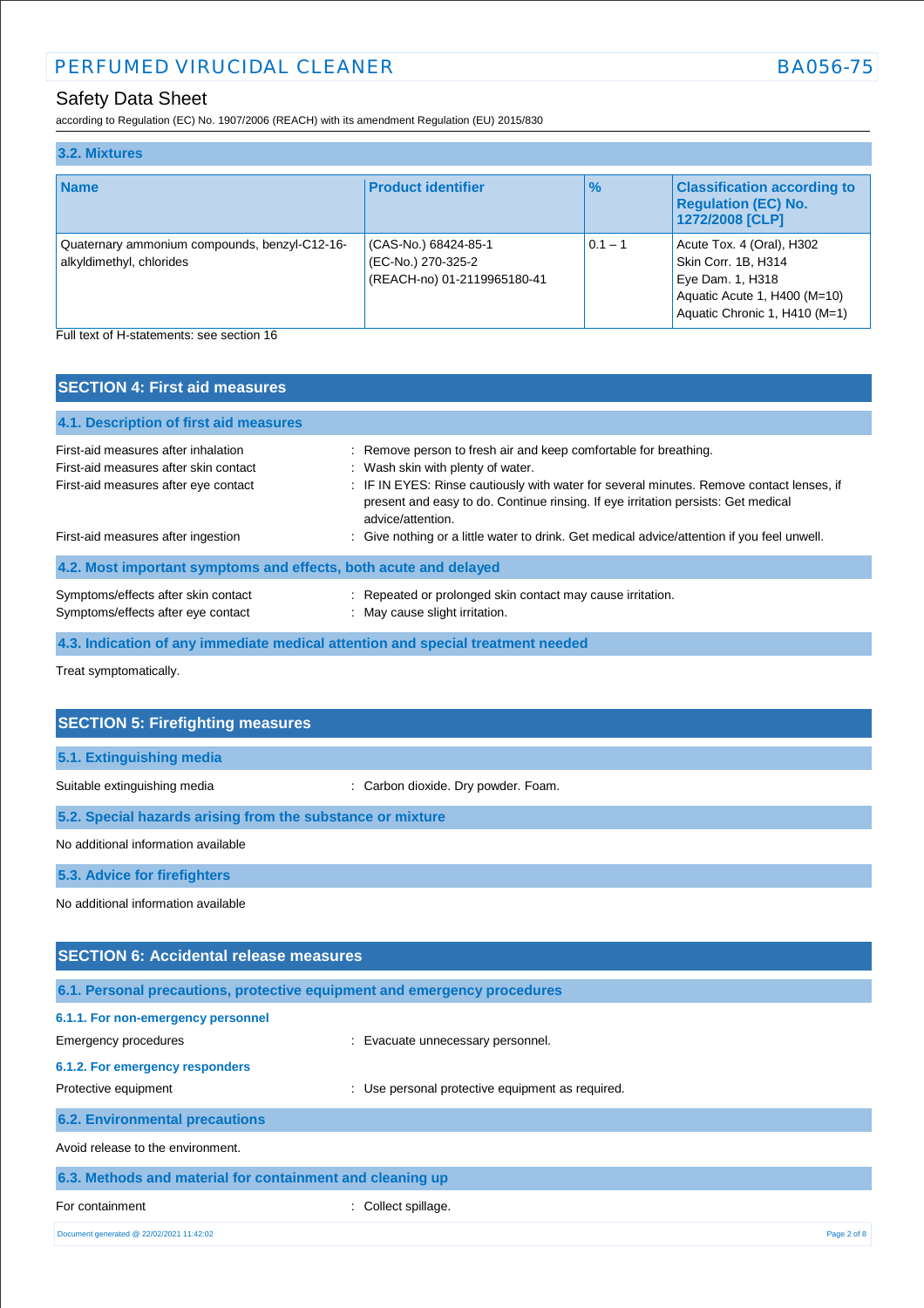according to Regulation (EC) No. 1907/2006 (REACH) with its amendment Regulation (EU) 2015/830

| 3.2. Mixtures                                                             |                                                                           |               |                                                                                                                                       |
|---------------------------------------------------------------------------|---------------------------------------------------------------------------|---------------|---------------------------------------------------------------------------------------------------------------------------------------|
| <b>Name</b>                                                               | <b>Product identifier</b>                                                 | $\frac{1}{2}$ | <b>Classification according to</b><br><b>Regulation (EC) No.</b><br>1272/2008 [CLP]                                                   |
| Quaternary ammonium compounds, benzyl-C12-16-<br>alkyldimethyl, chlorides | (CAS-No.) 68424-85-1<br>(EC-No.) 270-325-2<br>(REACH-no) 01-2119965180-41 | $0.1 - 1$     | Acute Tox. 4 (Oral), H302<br>Skin Corr. 1B, H314<br>Eye Dam. 1, H318<br>Aquatic Acute 1, H400 (M=10)<br>Aquatic Chronic 1, H410 (M=1) |
| Full text of H-statements: see section 16                                 |                                                                           |               |                                                                                                                                       |

| <b>SECTION 4: First aid measures</b>                                                                                              |                                                                                                                                                                                                                                                                                                             |  |
|-----------------------------------------------------------------------------------------------------------------------------------|-------------------------------------------------------------------------------------------------------------------------------------------------------------------------------------------------------------------------------------------------------------------------------------------------------------|--|
| 4.1. Description of first aid measures                                                                                            |                                                                                                                                                                                                                                                                                                             |  |
| First-aid measures after inhalation<br>First-aid measures after skin contact<br>First-aid measures after eye contact              | : Remove person to fresh air and keep comfortable for breathing.<br>: Wash skin with plenty of water.<br>: IF IN EYES: Rinse cautiously with water for several minutes. Remove contact lenses, if<br>present and easy to do. Continue rinsing. If eye irritation persists: Get medical<br>advice/attention. |  |
| : Give nothing or a little water to drink. Get medical advice/attention if you feel unwell.<br>First-aid measures after ingestion |                                                                                                                                                                                                                                                                                                             |  |
| 4.2. Most important symptoms and effects, both acute and delayed                                                                  |                                                                                                                                                                                                                                                                                                             |  |
| Symptoms/effects after skin contact<br>Symptoms/effects after eye contact                                                         | : Repeated or prolonged skin contact may cause irritation.<br>: May cause slight irritation.                                                                                                                                                                                                                |  |
| 4.3. Indication of any immediate medical attention and special treatment needed                                                   |                                                                                                                                                                                                                                                                                                             |  |

Treat symptomatically.

| <b>SECTION 5: Firefighting measures</b>                    |                                     |  |
|------------------------------------------------------------|-------------------------------------|--|
| 5.1. Extinguishing media                                   |                                     |  |
| Suitable extinguishing media                               | : Carbon dioxide. Dry powder. Foam. |  |
| 5.2. Special hazards arising from the substance or mixture |                                     |  |
| No additional information available                        |                                     |  |
| 5.3. Advice for firefighters                               |                                     |  |
| No additional information available                        |                                     |  |
|                                                            |                                     |  |
| <b>SECTION 6: Accidental release measures</b>              |                                     |  |
|                                                            |                                     |  |

| 6.1. Personal precautions, protective equipment and emergency procedures |                                                  |             |
|--------------------------------------------------------------------------|--------------------------------------------------|-------------|
| 6.1.1. For non-emergency personnel                                       |                                                  |             |
| Emergency procedures                                                     | : Evacuate unnecessary personnel.                |             |
| 6.1.2. For emergency responders                                          |                                                  |             |
| Protective equipment                                                     | : Use personal protective equipment as required. |             |
| <b>6.2. Environmental precautions</b>                                    |                                                  |             |
| Avoid release to the environment.                                        |                                                  |             |
| 6.3. Methods and material for containment and cleaning up                |                                                  |             |
| For containment                                                          | : Collect spillage.                              |             |
| Document generated @ 22/02/2021 11:42:02                                 |                                                  | Page 2 of 8 |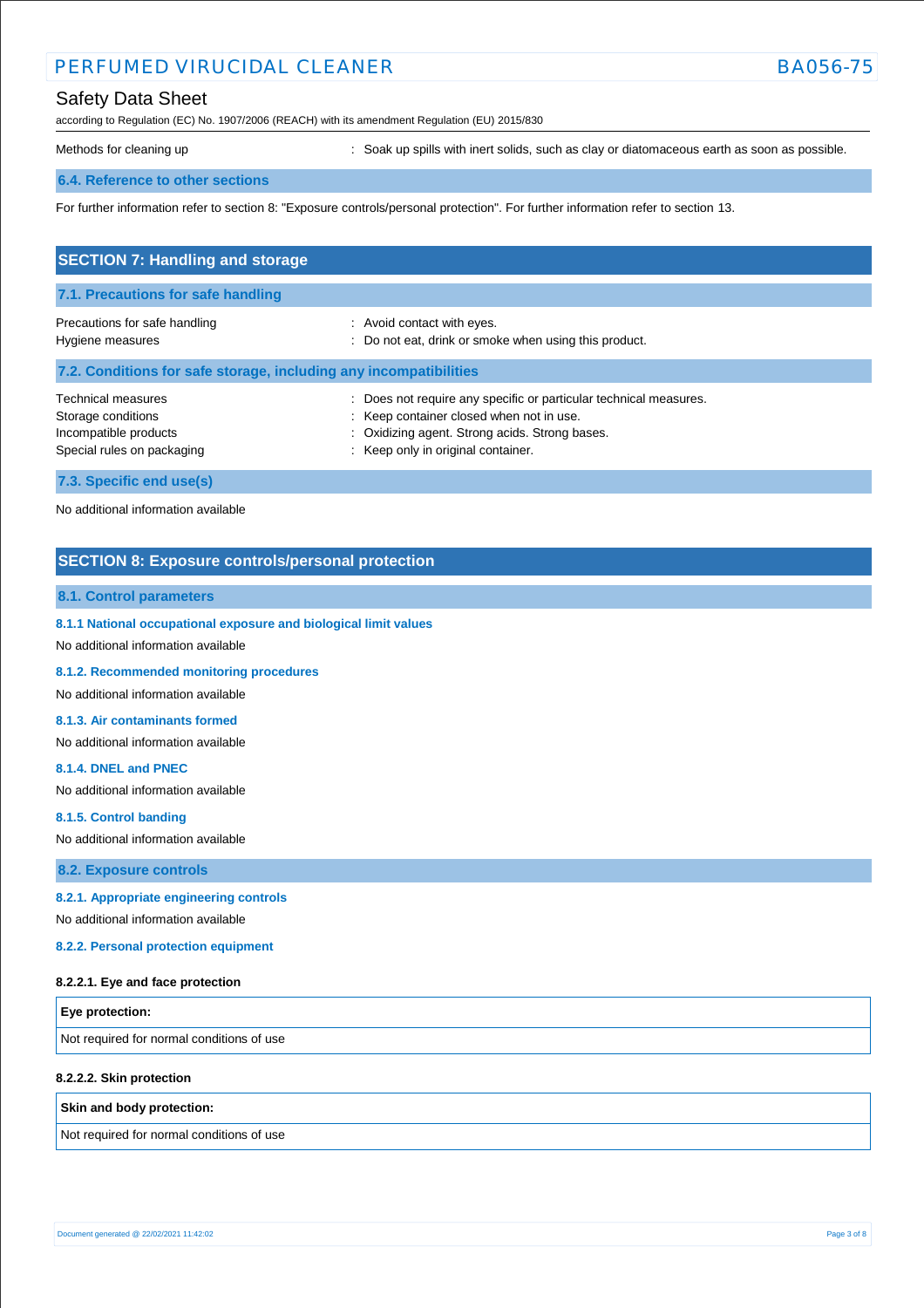according to Regulation (EC) No. 1907/2006 (REACH) with its amendment Regulation (EU) 2015/830

Methods for cleaning up **interpret in the spills** with inert solids, such as clay or diatomaceous earth as soon as possible.

### **6.4. Reference to other sections**

For further information refer to section 8: "Exposure controls/personal protection". For further information refer to section 13.

| <b>SECTION 7: Handling and storage</b>                                                                 |                                                                                                                                                                                                   |  |  |  |
|--------------------------------------------------------------------------------------------------------|---------------------------------------------------------------------------------------------------------------------------------------------------------------------------------------------------|--|--|--|
| 7.1. Precautions for safe handling                                                                     |                                                                                                                                                                                                   |  |  |  |
| Precautions for safe handling<br>Hygiene measures                                                      | : Avoid contact with eyes.<br>Do not eat, drink or smoke when using this product.                                                                                                                 |  |  |  |
| 7.2. Conditions for safe storage, including any incompatibilities                                      |                                                                                                                                                                                                   |  |  |  |
| <b>Technical measures</b><br>Storage conditions<br>Incompatible products<br>Special rules on packaging | Does not require any specific or particular technical measures.<br>: Keep container closed when not in use.<br>: Oxidizing agent. Strong acids. Strong bases.<br>Keep only in original container. |  |  |  |
| 7.3. Specific end use(s)                                                                               |                                                                                                                                                                                                   |  |  |  |

No additional information available

# **SECTION 8: Exposure controls/personal protection**

### **8.1. Control parameters**

**8.1.1 National occupational exposure and biological limit values** 

No additional information available

**8.1.2. Recommended monitoring procedures** 

No additional information available

**8.1.3. Air contaminants formed** 

No additional information available

#### **8.1.4. DNEL and PNEC**

No additional information available

**8.1.5. Control banding** 

No additional information available

**8.2. Exposure controls**

# **8.2.1. Appropriate engineering controls**

No additional information available

**8.2.2. Personal protection equipment** 

#### **8.2.2.1. Eye and face protection**

| <b>Eye protection:</b>                    |  |
|-------------------------------------------|--|
| Not required for normal conditions of use |  |

#### **8.2.2.2. Skin protection**

**Skin and body protection:**

Not required for normal conditions of use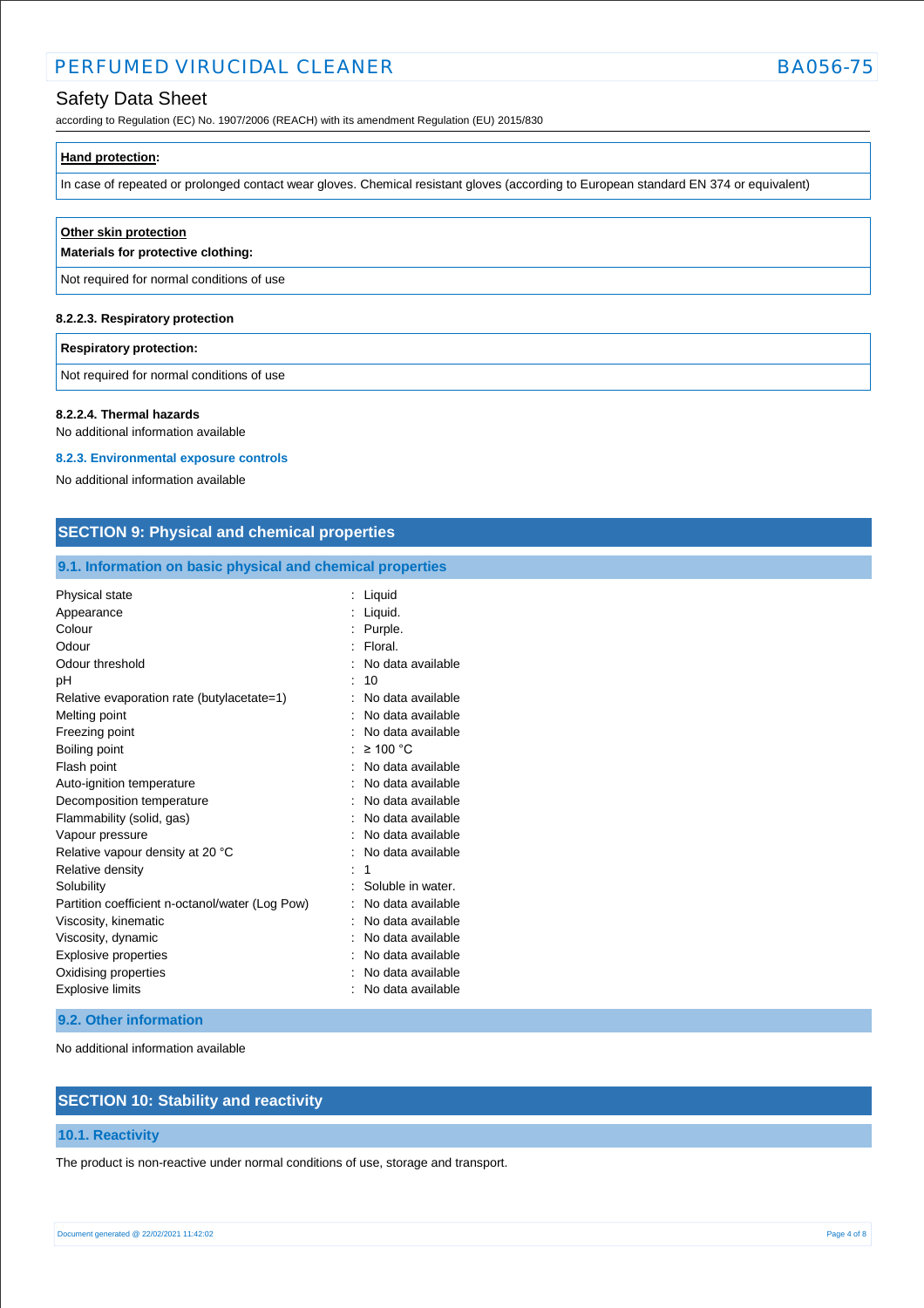# Safety Data Sheet

according to Regulation (EC) No. 1907/2006 (REACH) with its amendment Regulation (EU) 2015/830

| Hand protection: |  |  |
|------------------|--|--|
|                  |  |  |

In case of repeated or prolonged contact wear gloves. Chemical resistant gloves (according to European standard EN 374 or equivalent)

# **Other skin protection**

**Materials for protective clothing:**

Not required for normal conditions of use

### **8.2.2.3. Respiratory protection**

#### **Respiratory protection:**

Not required for normal conditions of use

#### **8.2.2.4. Thermal hazards**

No additional information available

# **8.2.3. Environmental exposure controls**

No additional information available

# **SECTION 9: Physical and chemical properties**

# **9.1. Information on basic physical and chemical properties**

| Physical state                                  | Liquid            |
|-------------------------------------------------|-------------------|
| Appearance                                      | Liquid.           |
| Colour                                          | Purple.           |
| Odour                                           | Floral.           |
| Odour threshold                                 | No data available |
| рH                                              | 10                |
| Relative evaporation rate (butylacetate=1)      | No data available |
| Melting point                                   | No data available |
| Freezing point                                  | No data available |
| Boiling point                                   | $\geq 100$ °C     |
| Flash point                                     | No data available |
| Auto-ignition temperature                       | No data available |
| Decomposition temperature                       | No data available |
| Flammability (solid, gas)                       | No data available |
| Vapour pressure                                 | No data available |
| Relative vapour density at 20 °C                | No data available |
| Relative density                                | 1                 |
| Solubility                                      | Soluble in water. |
| Partition coefficient n-octanol/water (Log Pow) | No data available |
| Viscosity, kinematic                            | No data available |
| Viscosity, dynamic                              | No data available |
| Explosive properties                            | No data available |
| Oxidising properties                            | No data available |
| <b>Explosive limits</b>                         | No data available |

### **9.2. Other information**

No additional information available

# **SECTION 10: Stability and reactivity**

# **10.1. Reactivity**

The product is non-reactive under normal conditions of use, storage and transport.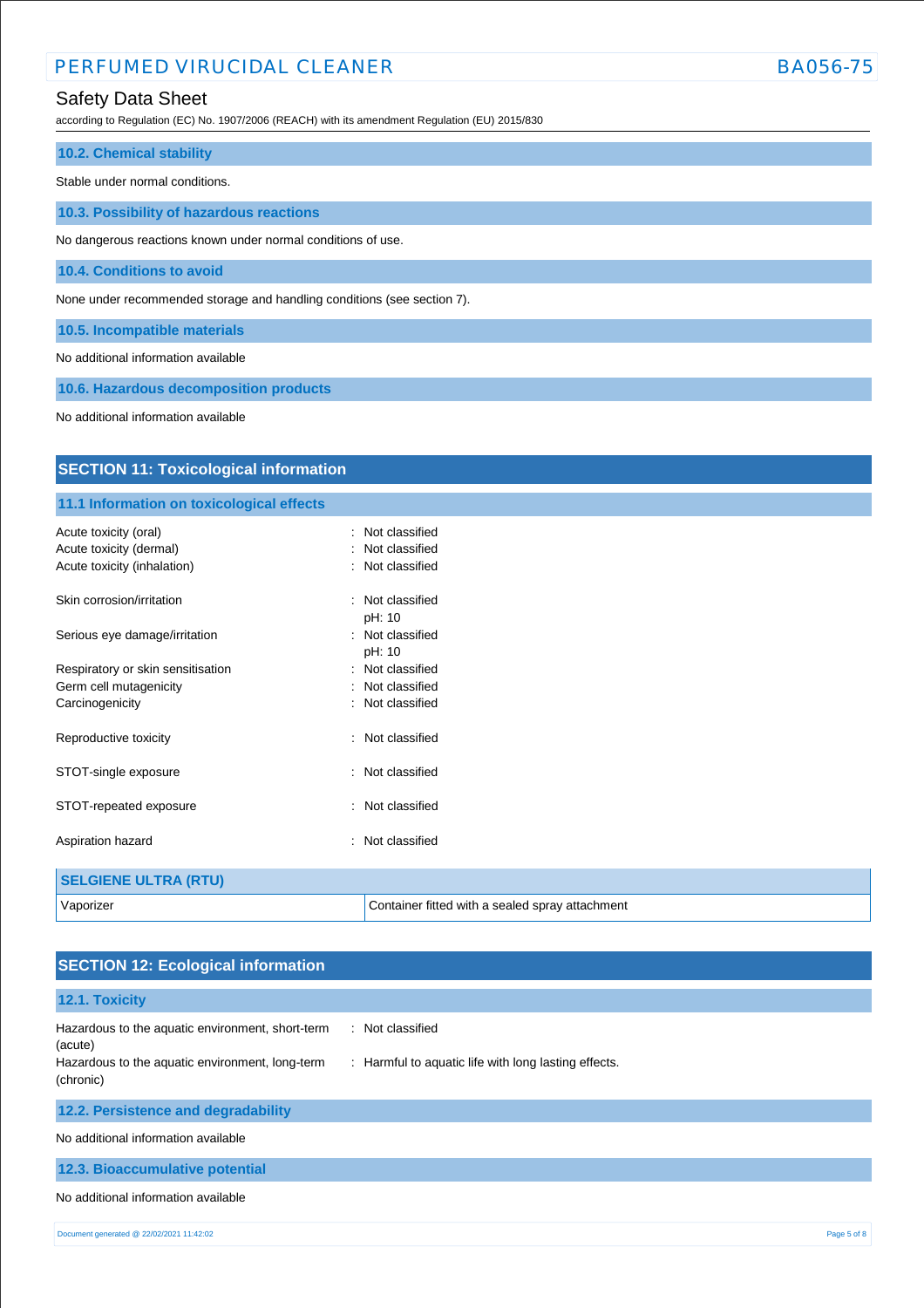# Safety Data Sheet

according to Regulation (EC) No. 1907/2006 (REACH) with its amendment Regulation (EU) 2015/830

| <b>10.2. Chemical stability</b>                                         |
|-------------------------------------------------------------------------|
|                                                                         |
| Stable under normal conditions.                                         |
|                                                                         |
| 10.3. Possibility of hazardous reactions                                |
|                                                                         |
| No dangerous reactions known under normal conditions of use.            |
|                                                                         |
| 10.4. Conditions to avoid                                               |
|                                                                         |
|                                                                         |
| None under recommended storage and handling conditions (see section 7). |
|                                                                         |
| 10.5. Incompatible materials                                            |
|                                                                         |

No additional information available

**10.6. Hazardous decomposition products**

No additional information available

| <b>SECTION 11: Toxicological information</b> |                                                 |  |  |  |
|----------------------------------------------|-------------------------------------------------|--|--|--|
| 11.1 Information on toxicological effects    |                                                 |  |  |  |
| Acute toxicity (oral)                        | : Not classified                                |  |  |  |
| Acute toxicity (dermal)                      | Not classified                                  |  |  |  |
| Acute toxicity (inhalation)                  | Not classified                                  |  |  |  |
| Skin corrosion/irritation                    | : Not classified<br>pH: 10                      |  |  |  |
| Serious eye damage/irritation                | : Not classified<br>pH: 10                      |  |  |  |
| Respiratory or skin sensitisation            | : Not classified                                |  |  |  |
| Germ cell mutagenicity                       | : Not classified                                |  |  |  |
| Carcinogenicity                              | Not classified                                  |  |  |  |
| Reproductive toxicity                        | Not classified                                  |  |  |  |
| STOT-single exposure                         | : Not classified                                |  |  |  |
| STOT-repeated exposure                       | Not classified<br>$\bullet$                     |  |  |  |
| Aspiration hazard                            | Not classified<br>٠.                            |  |  |  |
| <b>SELGIENE ULTRA (RTU)</b>                  |                                                 |  |  |  |
| Vaporizer                                    | Container fitted with a sealed spray attachment |  |  |  |

| <b>SECTION 12: Ecological information</b>                                                                      |                                                                          |
|----------------------------------------------------------------------------------------------------------------|--------------------------------------------------------------------------|
| 12.1. Toxicity                                                                                                 |                                                                          |
| Hazardous to the aquatic environment, short-term<br>(acute)<br>Hazardous to the aquatic environment, long-term | : Not classified<br>: Harmful to aquatic life with long lasting effects. |
| (chronic)                                                                                                      |                                                                          |
| 12.2. Persistence and degradability                                                                            |                                                                          |
| No additional information available                                                                            |                                                                          |
| 12.3. Bioaccumulative potential                                                                                |                                                                          |
| No additional information available                                                                            |                                                                          |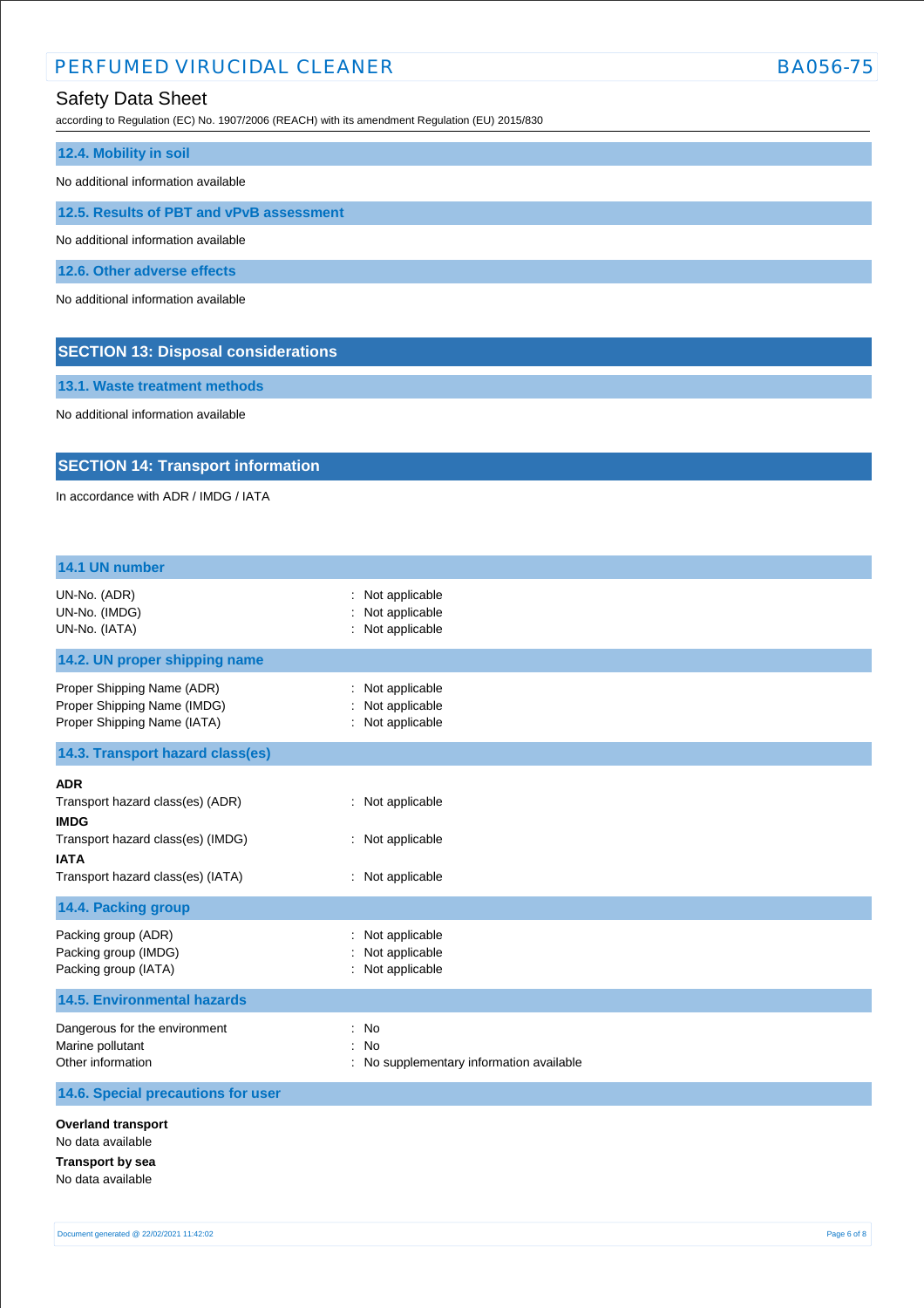according to Regulation (EC) No. 1907/2006 (REACH) with its amendment Regulation (EU) 2015/830

| 12.4. Mobility in soil                   |  |  |
|------------------------------------------|--|--|
| No additional information available      |  |  |
| 12.5. Results of PBT and vPvB assessment |  |  |
| No additional information available      |  |  |
| 12.6. Other adverse effects              |  |  |
| No additional information available      |  |  |
|                                          |  |  |

**13.1. Waste treatment methods**

No additional information available

# **SECTION 14: Transport information**

**SECTION 13: Disposal considerations**

In accordance with ADR / IMDG / IATA

| 14.1 UN number                                                                                                                                         |                                                          |
|--------------------------------------------------------------------------------------------------------------------------------------------------------|----------------------------------------------------------|
| UN-No. (ADR)<br>UN-No. (IMDG)<br>UN-No. (IATA)                                                                                                         | : Not applicable<br>Not applicable<br>: Not applicable   |
| 14.2. UN proper shipping name                                                                                                                          |                                                          |
| Proper Shipping Name (ADR)<br>Proper Shipping Name (IMDG)<br>Proper Shipping Name (IATA)                                                               | : Not applicable<br>: Not applicable<br>: Not applicable |
| 14.3. Transport hazard class(es)                                                                                                                       |                                                          |
| <b>ADR</b><br>Transport hazard class(es) (ADR)<br><b>IMDG</b><br>Transport hazard class(es) (IMDG)<br><b>IATA</b><br>Transport hazard class(es) (IATA) | : Not applicable<br>: Not applicable<br>: Not applicable |
| 14.4. Packing group                                                                                                                                    |                                                          |
| Packing group (ADR)<br>Packing group (IMDG)<br>Packing group (IATA)<br><b>14.5. Environmental hazards</b>                                              | Not applicable<br>Not applicable<br>: Not applicable     |
| Dangerous for the environment<br>Marine pollutant<br>Other information                                                                                 | : No<br>: No<br>: No supplementary information available |
| 14.6. Special precautions for user                                                                                                                     |                                                          |
| <b>Overland transport</b><br>No data available<br><b>Transport by sea</b><br>No data available                                                         |                                                          |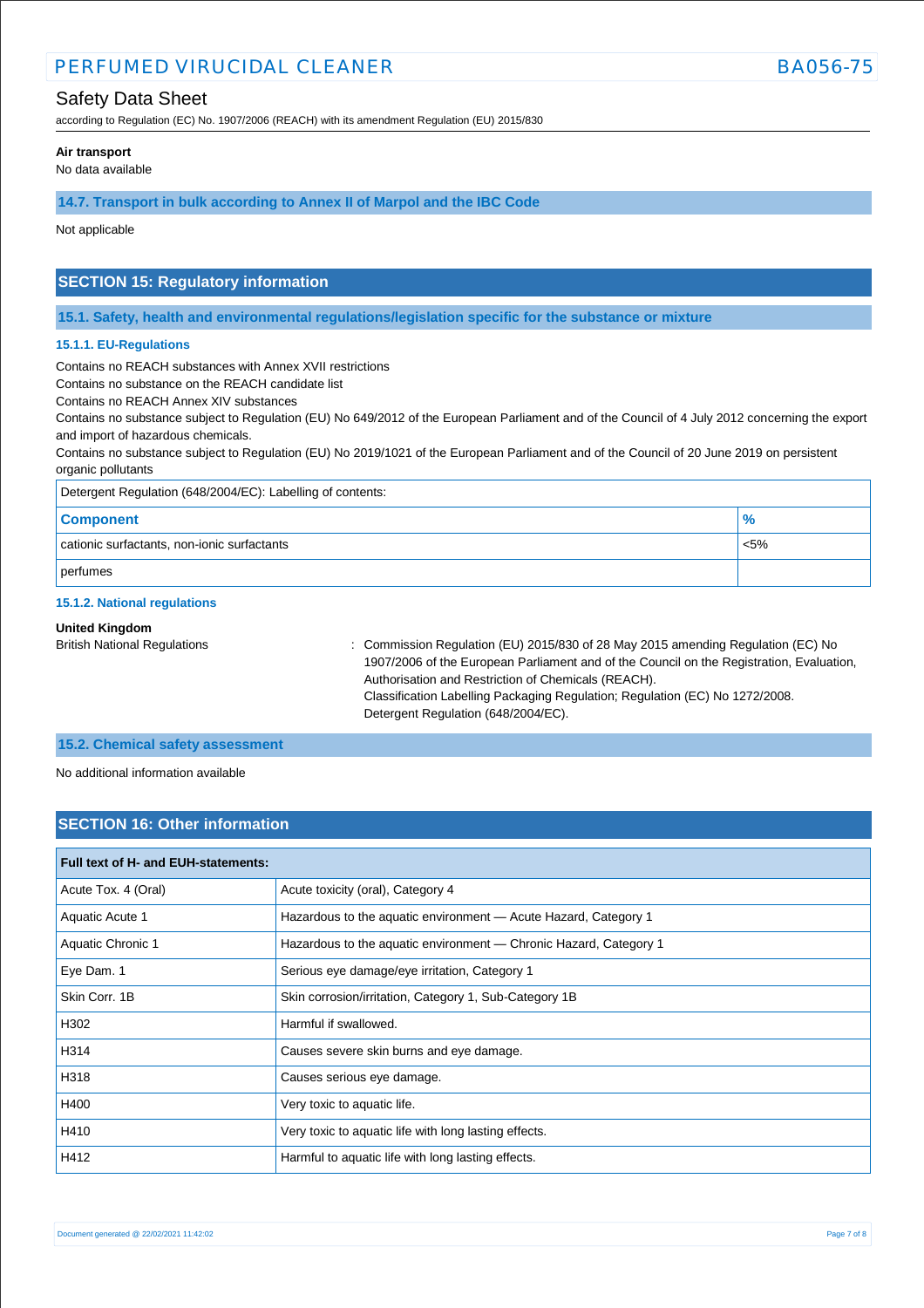# Safety Data Sheet

according to Regulation (EC) No. 1907/2006 (REACH) with its amendment Regulation (EU) 2015/830

#### **Air transport**

No data available

### **14.7. Transport in bulk according to Annex II of Marpol and the IBC Code**

Not applicable

# **SECTION 15: Regulatory information**

**15.1. Safety, health and environmental regulations/legislation specific for the substance or mixture**

#### **15.1.1. EU-Regulations**

Contains no REACH substances with Annex XVII restrictions

Contains no substance on the REACH candidate list

Contains no REACH Annex XIV substances

Contains no substance subject to Regulation (EU) No 649/2012 of the European Parliament and of the Council of 4 July 2012 concerning the export and import of hazardous chemicals.

Contains no substance subject to Regulation (EU) No 2019/1021 of the European Parliament and of the Council of 20 June 2019 on persistent organic pollutants

| Detergent Regulation (648/2004/EC): Labelling of contents: |               |  |
|------------------------------------------------------------|---------------|--|
| <b>Component</b>                                           | $\frac{9}{6}$ |  |
| cationic surfactants, non-ionic surfactants                | $< 5\%$       |  |
| perfumes                                                   |               |  |

### **15.1.2. National regulations**

### **United Kingdom**

British National Regulations : Commission Regulation (EU) 2015/830 of 28 May 2015 amending Regulation (EC) No 1907/2006 of the European Parliament and of the Council on the Registration, Evaluation, Authorisation and Restriction of Chemicals (REACH). Classification Labelling Packaging Regulation; Regulation (EC) No 1272/2008. Detergent Regulation (648/2004/EC).

### **15.2. Chemical safety assessment**

No additional information available

# **SECTION 16: Other information**

| Full text of H- and EUH-statements: |                                                                   |  |  |  |
|-------------------------------------|-------------------------------------------------------------------|--|--|--|
| Acute Tox. 4 (Oral)                 | Acute toxicity (oral), Category 4                                 |  |  |  |
| Aquatic Acute 1                     | Hazardous to the aquatic environment - Acute Hazard, Category 1   |  |  |  |
| Aquatic Chronic 1                   | Hazardous to the aquatic environment - Chronic Hazard, Category 1 |  |  |  |
| Eye Dam. 1                          | Serious eye damage/eye irritation, Category 1                     |  |  |  |
| Skin Corr. 1B                       | Skin corrosion/irritation, Category 1, Sub-Category 1B            |  |  |  |
| H302                                | Harmful if swallowed.                                             |  |  |  |
| H314                                | Causes severe skin burns and eye damage.                          |  |  |  |
| H318                                | Causes serious eye damage.                                        |  |  |  |
| H400                                | Very toxic to aquatic life.                                       |  |  |  |
| H410                                | Very toxic to aquatic life with long lasting effects.             |  |  |  |
| H412                                | Harmful to aquatic life with long lasting effects.                |  |  |  |